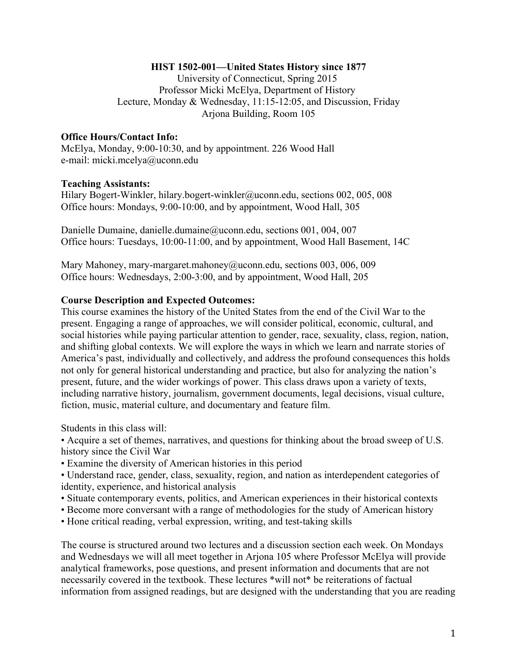#### **HIST 1502-001—United States History since 1877**

University of Connecticut, Spring 2015 Professor Micki McElya, Department of History Lecture, Monday & Wednesday, 11:15-12:05, and Discussion, Friday Arjona Building, Room 105

#### **Office Hours/Contact Info:**

McElya, Monday, 9:00-10:30, and by appointment. 226 Wood Hall e-mail: micki.mcelya@uconn.edu

#### **Teaching Assistants:**

Hilary Bogert-Winkler, hilary.bogert-winkler@uconn.edu, sections 002, 005, 008 Office hours: Mondays, 9:00-10:00, and by appointment, Wood Hall, 305

Danielle Dumaine, danielle.dumaine@uconn.edu, sections 001, 004, 007 Office hours: Tuesdays, 10:00-11:00, and by appointment, Wood Hall Basement, 14C

Mary Mahoney, mary-margaret.mahoney@uconn.edu, sections 003, 006, 009 Office hours: Wednesdays, 2:00-3:00, and by appointment, Wood Hall, 205

#### **Course Description and Expected Outcomes:**

This course examines the history of the United States from the end of the Civil War to the present. Engaging a range of approaches, we will consider political, economic, cultural, and social histories while paying particular attention to gender, race, sexuality, class, region, nation, and shifting global contexts. We will explore the ways in which we learn and narrate stories of America's past, individually and collectively, and address the profound consequences this holds not only for general historical understanding and practice, but also for analyzing the nation's present, future, and the wider workings of power. This class draws upon a variety of texts, including narrative history, journalism, government documents, legal decisions, visual culture, fiction, music, material culture, and documentary and feature film.

Students in this class will:

• Acquire a set of themes, narratives, and questions for thinking about the broad sweep of U.S. history since the Civil War

• Examine the diversity of American histories in this period

• Understand race, gender, class, sexuality, region, and nation as interdependent categories of identity, experience, and historical analysis

- Situate contemporary events, politics, and American experiences in their historical contexts
- Become more conversant with a range of methodologies for the study of American history
- Hone critical reading, verbal expression, writing, and test-taking skills

The course is structured around two lectures and a discussion section each week. On Mondays and Wednesdays we will all meet together in Arjona 105 where Professor McElya will provide analytical frameworks, pose questions, and present information and documents that are not necessarily covered in the textbook. These lectures \*will not\* be reiterations of factual information from assigned readings, but are designed with the understanding that you are reading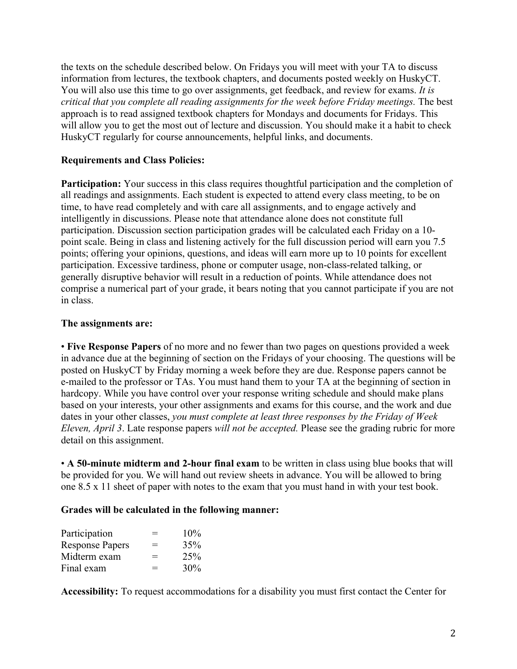the texts on the schedule described below. On Fridays you will meet with your TA to discuss information from lectures, the textbook chapters, and documents posted weekly on HuskyCT. You will also use this time to go over assignments, get feedback, and review for exams. *It is critical that you complete all reading assignments for the week before Friday meetings.* The best approach is to read assigned textbook chapters for Mondays and documents for Fridays. This will allow you to get the most out of lecture and discussion. You should make it a habit to check HuskyCT regularly for course announcements, helpful links, and documents.

## **Requirements and Class Policies:**

**Participation:** Your success in this class requires thoughtful participation and the completion of all readings and assignments. Each student is expected to attend every class meeting, to be on time, to have read completely and with care all assignments, and to engage actively and intelligently in discussions. Please note that attendance alone does not constitute full participation. Discussion section participation grades will be calculated each Friday on a 10 point scale. Being in class and listening actively for the full discussion period will earn you 7.5 points; offering your opinions, questions, and ideas will earn more up to 10 points for excellent participation. Excessive tardiness, phone or computer usage, non-class-related talking, or generally disruptive behavior will result in a reduction of points. While attendance does not comprise a numerical part of your grade, it bears noting that you cannot participate if you are not in class.

#### **The assignments are:**

• **Five Response Papers** of no more and no fewer than two pages on questions provided a week in advance due at the beginning of section on the Fridays of your choosing. The questions will be posted on HuskyCT by Friday morning a week before they are due. Response papers cannot be e-mailed to the professor or TAs. You must hand them to your TA at the beginning of section in hardcopy. While you have control over your response writing schedule and should make plans based on your interests, your other assignments and exams for this course, and the work and due dates in your other classes, *you must complete at least three responses by the Friday of Week Eleven, April 3*. Late response papers *will not be accepted.* Please see the grading rubric for more detail on this assignment.

• **A 50-minute midterm and 2-hour final exam** to be written in class using blue books that will be provided for you. We will hand out review sheets in advance. You will be allowed to bring one 8.5 x 11 sheet of paper with notes to the exam that you must hand in with your test book.

#### **Grades will be calculated in the following manner:**

| Participation          | $=$ | 10% |
|------------------------|-----|-----|
| <b>Response Papers</b> | $=$ | 35% |
| Midterm exam           | $=$ | 25% |
| Final exam             | $=$ | 30% |

**Accessibility:** To request accommodations for a disability you must first contact the Center for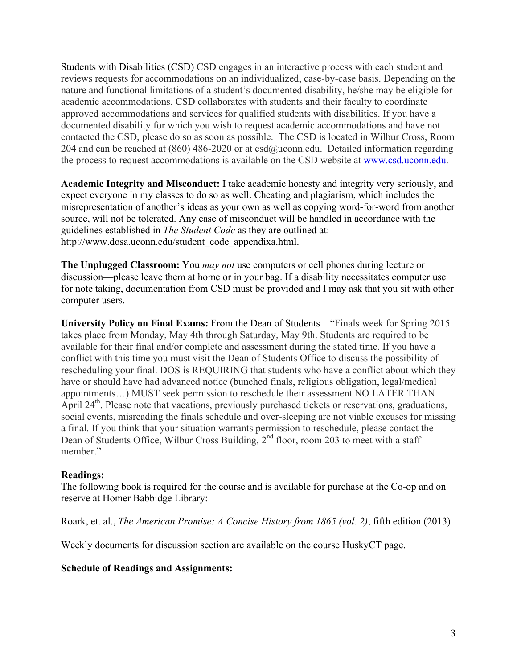Students with Disabilities (CSD) CSD engages in an interactive process with each student and reviews requests for accommodations on an individualized, case-by-case basis. Depending on the nature and functional limitations of a student's documented disability, he/she may be eligible for academic accommodations. CSD collaborates with students and their faculty to coordinate approved accommodations and services for qualified students with disabilities. If you have a documented disability for which you wish to request academic accommodations and have not contacted the CSD, please do so as soon as possible. The CSD is located in Wilbur Cross, Room 204 and can be reached at  $(860)$  486-2020 or at csd $@$ uconn.edu. Detailed information regarding the process to request accommodations is available on the CSD website at www.csd.uconn.edu.

**Academic Integrity and Misconduct:** I take academic honesty and integrity very seriously, and expect everyone in my classes to do so as well. Cheating and plagiarism, which includes the misrepresentation of another's ideas as your own as well as copying word-for-word from another source, will not be tolerated. Any case of misconduct will be handled in accordance with the guidelines established in *The Student Code* as they are outlined at: http://www.dosa.uconn.edu/student\_code\_appendixa.html.

**The Unplugged Classroom:** You *may not* use computers or cell phones during lecture or discussion—please leave them at home or in your bag. If a disability necessitates computer use for note taking, documentation from CSD must be provided and I may ask that you sit with other computer users.

**University Policy on Final Exams:** From the Dean of Students—"Finals week for Spring 2015 takes place from Monday, May 4th through Saturday, May 9th. Students are required to be available for their final and/or complete and assessment during the stated time. If you have a conflict with this time you must visit the Dean of Students Office to discuss the possibility of rescheduling your final. DOS is REQUIRING that students who have a conflict about which they have or should have had advanced notice (bunched finals, religious obligation, legal/medical appointments…) MUST seek permission to reschedule their assessment NO LATER THAN April 24<sup>th</sup>. Please note that vacations, previously purchased tickets or reservations, graduations, social events, misreading the finals schedule and over-sleeping are not viable excuses for missing a final. If you think that your situation warrants permission to reschedule, please contact the Dean of Students Office, Wilbur Cross Building, 2<sup>nd</sup> floor, room 203 to meet with a staff member."

#### **Readings:**

The following book is required for the course and is available for purchase at the Co-op and on reserve at Homer Babbidge Library:

Roark, et. al., *The American Promise: A Concise History from 1865 (vol. 2)*, fifth edition (2013)

Weekly documents for discussion section are available on the course HuskyCT page.

# **Schedule of Readings and Assignments:**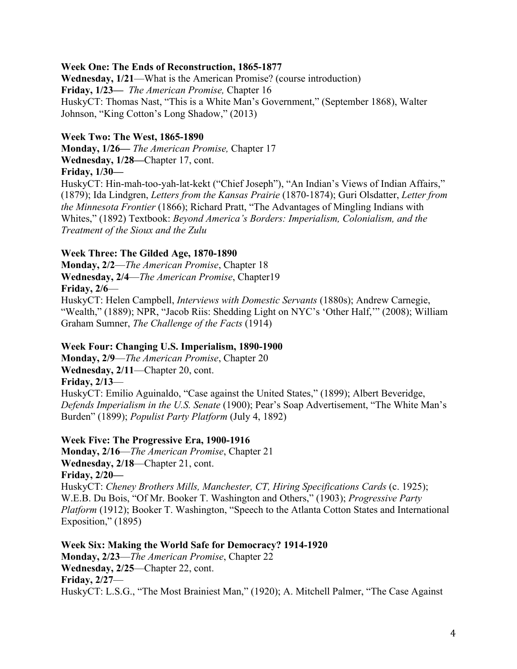## **Week One: The Ends of Reconstruction, 1865-1877**

**Wednesday, 1/21**—What is the American Promise? (course introduction) **Friday, 1/23—** *The American Promise,* Chapter 16 HuskyCT: Thomas Nast, "This is a White Man's Government," (September 1868), Walter Johnson, "King Cotton's Long Shadow," (2013)

### **Week Two: The West, 1865-1890**

**Monday, 1/26—** *The American Promise,* Chapter 17 **Wednesday, 1/28—**Chapter 17, cont. **Friday, 1/30—**

HuskyCT: Hin-mah-too-yah-lat-kekt ("Chief Joseph"), "An Indian's Views of Indian Affairs," (1879); Ida Lindgren, *Letters from the Kansas Prairie* (1870-1874); Guri Olsdatter, *Letter from the Minnesota Frontier* (1866); Richard Pratt, "The Advantages of Mingling Indians with Whites," (1892) Textbook: *Beyond America's Borders: Imperialism, Colonialism, and the Treatment of the Sioux and the Zulu*

### **Week Three: The Gilded Age, 1870-1890**

**Monday, 2/2**—*The American Promise*, Chapter 18 **Wednesday, 2/4**—*The American Promise*, Chapter19 **Friday, 2/6**—

HuskyCT: Helen Campbell, *Interviews with Domestic Servants* (1880s); Andrew Carnegie, "Wealth," (1889); NPR, "Jacob Riis: Shedding Light on NYC's 'Other Half," (2008); William Graham Sumner, *The Challenge of the Facts* (1914)

#### **Week Four: Changing U.S. Imperialism, 1890-1900**

**Monday, 2/9**—*The American Promise*, Chapter 20 **Wednesday, 2/11**—Chapter 20, cont. **Friday, 2/13**— HuskyCT: Emilio Aguinaldo, "Case against the United States," (1899); Albert Beveridge, *Defends Imperialism in the U.S. Senate* (1900); Pear's Soap Advertisement, "The White Man's Burden" (1899); *Populist Party Platform* (July 4, 1892)

#### **Week Five: The Progressive Era, 1900-1916**

**Monday, 2/16**—*The American Promise*, Chapter 21 **Wednesday, 2/18**—Chapter 21, cont. **Friday, 2/20—** HuskyCT: *Cheney Brothers Mills, Manchester, CT, Hiring Specifications Cards* (c. 1925); W.E.B. Du Bois, "Of Mr. Booker T. Washington and Others," (1903); *Progressive Party Platform* (1912); Booker T. Washington, "Speech to the Atlanta Cotton States and International Exposition," (1895)

**Week Six: Making the World Safe for Democracy? 1914-1920 Monday, 2/23**—*The American Promise*, Chapter 22 **Wednesday, 2/25**—Chapter 22, cont. **Friday, 2/27**— HuskyCT: L.S.G., "The Most Brainiest Man," (1920); A. Mitchell Palmer, "The Case Against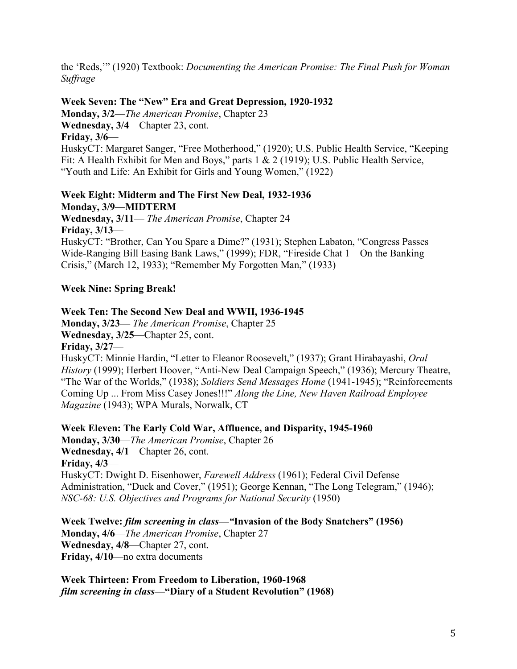the 'Reds,'" (1920) Textbook: *Documenting the American Promise: The Final Push for Woman Suffrage*

# **Week Seven: The "New" Era and Great Depression, 1920-1932**

**Monday, 3/2**—*The American Promise*, Chapter 23 **Wednesday, 3/4**—Chapter 23, cont. **Friday, 3/6**—

HuskyCT: Margaret Sanger, "Free Motherhood," (1920); U.S. Public Health Service, "Keeping Fit: A Health Exhibit for Men and Boys," parts 1 & 2 (1919); U.S. Public Health Service, "Youth and Life: An Exhibit for Girls and Young Women," (1922)

# **Week Eight: Midterm and The First New Deal, 1932-1936 Monday, 3/9—MIDTERM**

**Wednesday, 3/11**— *The American Promise*, Chapter 24 **Friday, 3/13**— HuskyCT: "Brother, Can You Spare a Dime?" (1931); Stephen Labaton, "Congress Passes Wide-Ranging Bill Easing Bank Laws," (1999); FDR, "Fireside Chat 1—On the Banking Crisis," (March 12, 1933); "Remember My Forgotten Man," (1933)

# **Week Nine: Spring Break!**

# **Week Ten: The Second New Deal and WWII, 1936-1945**

**Monday, 3/23—** *The American Promise*, Chapter 25 **Wednesday, 3/25**—Chapter 25, cont.

**Friday, 3/27**—

HuskyCT: Minnie Hardin, "Letter to Eleanor Roosevelt," (1937); Grant Hirabayashi, *Oral History* (1999); Herbert Hoover, "Anti-New Deal Campaign Speech," (1936); Mercury Theatre, "The War of the Worlds," (1938); *Soldiers Send Messages Home* (1941-1945); "Reinforcements Coming Up ... From Miss Casey Jones!!!" *Along the Line, New Haven Railroad Employee Magazine* (1943); WPA Murals, Norwalk, CT

**Week Eleven: The Early Cold War, Affluence, and Disparity, 1945-1960** 

**Monday, 3/30**—*The American Promise*, Chapter 26 **Wednesday, 4/1**—Chapter 26, cont. **Friday, 4/3**— HuskyCT: Dwight D. Eisenhower, *Farewell Address* (1961); Federal Civil Defense Administration, "Duck and Cover," (1951); George Kennan, "The Long Telegram," (1946); *NSC-68: U.S. Objectives and Programs for National Security* (1950)

**Week Twelve:** *film screening in class—"***Invasion of the Body Snatchers" (1956) Monday, 4/6**—*The American Promise*, Chapter 27 **Wednesday, 4/8**—Chapter 27, cont. **Friday, 4/10**—no extra documents

**Week Thirteen: From Freedom to Liberation, 1960-1968**  *film screening in class***—"Diary of a Student Revolution" (1968)**